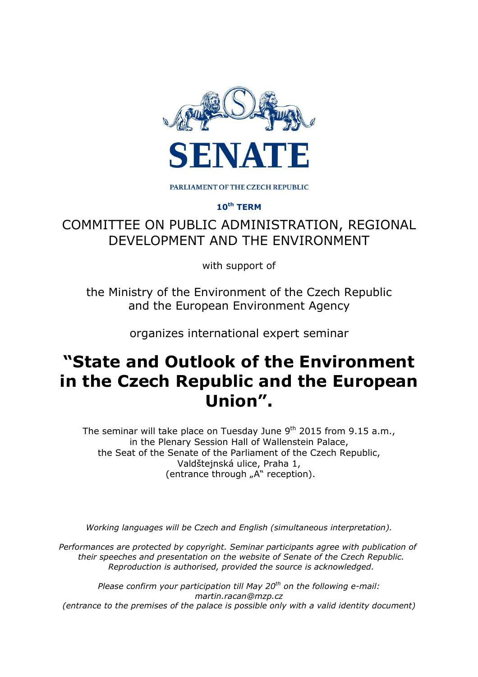

PARLIAMENT OF THE CZECH REPUBLIC

**10th TERM** 

## COMMITTEE ON PUBLIC ADMINISTRATION, REGIONAL DEVELOPMENT AND THE ENVIRONMENT

with support of

the Ministry of the Environment of the Czech Republic and the European Environment Agency

organizes international expert seminar

# **"State and Outlook of the Environment in the Czech Republic and the European Union".**

The seminar will take place on Tuesday June  $9<sup>th</sup>$  2015 from 9.15 a.m., in the Plenary Session Hall of Wallenstein Palace, the Seat of the Senate of the Parliament of the Czech Republic, Valdštejnská ulice, Praha 1, (entrance through "A" reception).

*Working languages will be Czech and English (simultaneous interpretation).* 

*Performances are protected by copyright. Seminar participants agree with publication of their speeches and presentation on the website of Senate of the Czech Republic. Reproduction is authorised, provided the source is acknowledged.* 

*Please confirm your participation till May 20th on the following e-mail: martin.racan@mzp.cz (entrance to the premises of the palace is possible only with a valid identity document)*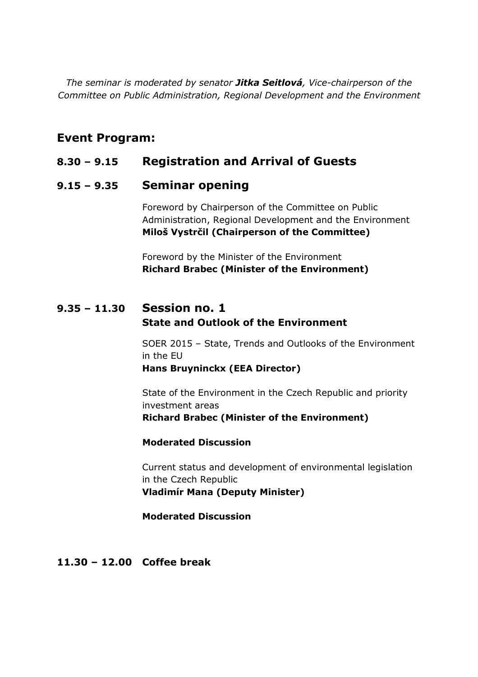*The seminar is moderated by senator Jitka Seitlová, Vice-chairperson of the Committee on Public Administration, Regional Development and the Environment* 

## **Event Program:**

## **8.30 – 9.15****Registration and Arrival of Guests**

#### **9.15 – 9.35 Seminar opening**

 Foreword by Chairperson of the Committee on Public Administration, Regional Development and the Environment **Miloš Vystrčil (Chairperson of the Committee)** 

 Foreword by the Minister of the Environment **Richard Brabec (Minister of the Environment)** 

## **9.35 – 11.30 Session no. 1 State and Outlook of the Environment**

 SOER 2015 – State, Trends and Outlooks of the Environment in the EU **Hans Bruyninckx (EEA Director)** 

 State of the Environment in the Czech Republic and priority investment areas **Richard Brabec (Minister of the Environment)** 

 **Moderated Discussion** 

 Current status and development of environmental legislation in the Czech Republic **Vladimír Mana (Deputy Minister)** 

**Moderated Discussion** 

#### **11.30 – 12.00 Coffee break**